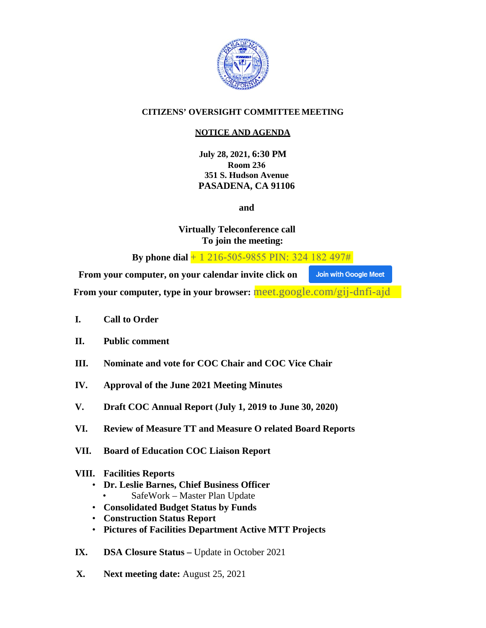

# **CITIZENS' OVERSIGHT COMMITTEE MEETING**

# **NOTICE AND AGENDA**

**July 28, 2021, 6:30 PM Room 236 351 S. Hudson Avenue PASADENA, CA 91106**

**and** 

**Virtually Teleconference call To join the meeting:** 

**By phone dial** + 1 216-505-9855 PIN: 324 182 497#

**From your computer, on your calendar invite click on Join with Google Meet** 

**From your computer, type in your browser:** meet.google.com/gij-dnfi-ajd

- **I. Call to Order**
- **II. Public comment**
- **III. Nominate and vote for COC Chair and COC Vice Chair**
- **IV. Approval of the June 2021 Meeting Minutes**
- **V. Draft COC Annual Report (July 1, 2019 to June 30, 2020)**
- **VI. Review of Measure TT and Measure O related Board Reports**
- **VII. Board of Education COC Liaison Report**

## **VIII. Facilities Reports**

- **Dr. Leslie Barnes, Chief Business Officer** • SafeWork – Master Plan Update
- **Consolidated Budget Status by Funds**
- **Construction Status Report**
- **Pictures of Facilities Department Active MTT Projects**
- **IX. DSA Closure Status Update in October 2021**
- **X. Next meeting date:** August 25, 2021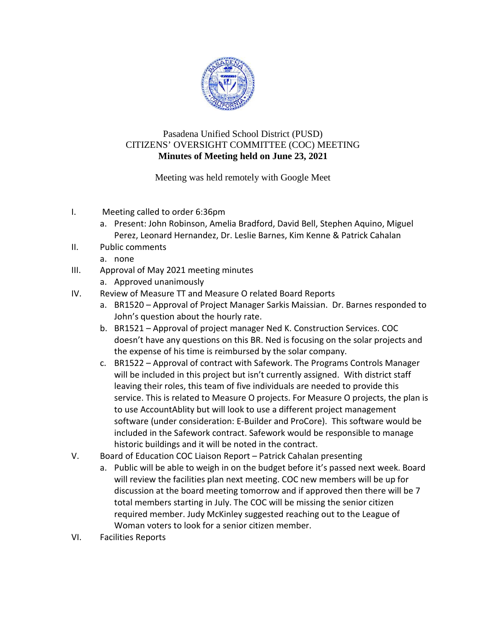

# Pasadena Unified School District (PUSD) CITIZENS' OVERSIGHT COMMITTEE (COC) MEETING **Minutes of Meeting held on June 23, 2021**

# Meeting was held remotely with Google Meet

- I. Meeting called to order 6:36pm
	- a. Present: John Robinson, Amelia Bradford, David Bell, Stephen Aquino, Miguel Perez, Leonard Hernandez, Dr. Leslie Barnes, Kim Kenne & Patrick Cahalan
- II. Public comments
	- a. none
- III. Approval of May 2021 meeting minutes
	- a. Approved unanimously
- IV. Review of Measure TT and Measure O related Board Reports
	- a. BR1520 Approval of Project Manager Sarkis Maissian. Dr. Barnes responded to John's question about the hourly rate.
	- b. BR1521 Approval of project manager Ned K. Construction Services. COC doesn't have any questions on this BR. Ned is focusing on the solar projects and the expense of his time is reimbursed by the solar company.
	- c. BR1522 Approval of contract with Safework. The Programs Controls Manager will be included in this project but isn't currently assigned. With district staff leaving their roles, this team of five individuals are needed to provide this service. This is related to Measure O projects. For Measure O projects, the plan is to use AccountAblity but will look to use a different project management software (under consideration: E-Builder and ProCore). This software would be included in the Safework contract. Safework would be responsible to manage historic buildings and it will be noted in the contract.
- V. Board of Education COC Liaison Report Patrick Cahalan presenting
	- a. Public will be able to weigh in on the budget before it's passed next week. Board will review the facilities plan next meeting. COC new members will be up for discussion at the board meeting tomorrow and if approved then there will be 7 total members starting in July. The COC will be missing the senior citizen required member. Judy McKinley suggested reaching out to the League of Woman voters to look for a senior citizen member.
- VI. Facilities Reports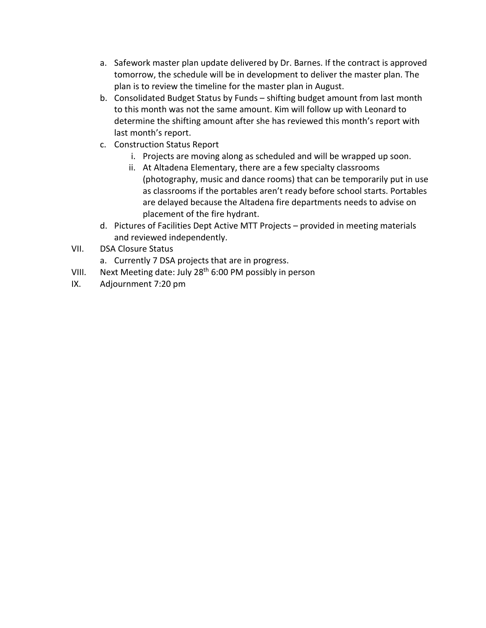- a. Safework master plan update delivered by Dr. Barnes. If the contract is approved tomorrow, the schedule will be in development to deliver the master plan. The plan is to review the timeline for the master plan in August.
- b. Consolidated Budget Status by Funds shifting budget amount from last month to this month was not the same amount. Kim will follow up with Leonard to determine the shifting amount after she has reviewed this month's report with last month's report.
- c. Construction Status Report
	- i. Projects are moving along as scheduled and will be wrapped up soon.
	- ii. At Altadena Elementary, there are a few specialty classrooms (photography, music and dance rooms) that can be temporarily put in use as classrooms if the portables aren't ready before school starts. Portables are delayed because the Altadena fire departments needs to advise on placement of the fire hydrant.
- d. Pictures of Facilities Dept Active MTT Projects provided in meeting materials and reviewed independently.
- VII. DSA Closure Status
	- a. Currently 7 DSA projects that are in progress.
- VIII. Next Meeting date: July 28<sup>th</sup> 6:00 PM possibly in person
- IX. Adjournment 7:20 pm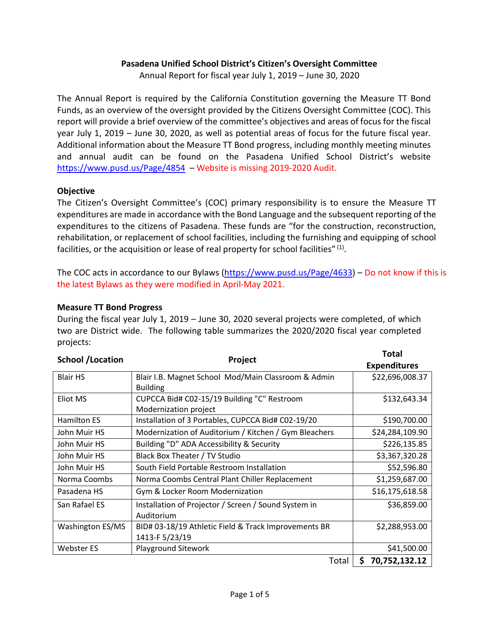## **Pasadena Unified School District's Citizen's Oversight Committee**

Annual Report for fiscal year July 1, 2019 – June 30, 2020

The Annual Report is required by the California Constitution governing the Measure TT Bond Funds, as an overview of the oversight provided by the Citizens Oversight Committee (COC). This report will provide a brief overview of the committee's objectives and areas of focus for the fiscal year July 1, 2019 – June 30, 2020, as well as potential areas of focus for the future fiscal year. Additional information about the Measure TT Bond progress, including monthly meeting minutes and annual audit can be found on the Pasadena Unified School District's website <https://www.pusd.us/Page/4854>– Website is missing 2019-2020 Audit.

### **Objective**

The Citizen's Oversight Committee's (COC) primary responsibility is to ensure the Measure TT expenditures are made in accordance with the Bond Language and the subsequent reporting of the expenditures to the citizens of Pasadena. These funds are "for the construction, reconstruction, rehabilitation, or replacement of school facilities, including the furnishing and equipping of school facilities, or the acquisition or lease of real property for school facilities"  $(1)$ .

The COC acts in accordance to our Bylaws [\(https://www.pusd.us/Page/4633\)](https://www.pusd.us/Page/4633) – Do not know if this is the latest Bylaws as they were modified in April-May 2021.

### **Measure TT Bond Progress**

During the fiscal year July 1, 2019 – June 30, 2020 several projects were completed, of which two are District wide. The following table summarizes the 2020/2020 fiscal year completed projects:

| <b>School /Location</b> | Total                                                 |                     |
|-------------------------|-------------------------------------------------------|---------------------|
|                         | Project                                               | <b>Expenditures</b> |
| <b>Blair HS</b>         | Blair I.B. Magnet School Mod/Main Classroom & Admin   | \$22,696,008.37     |
|                         | <b>Building</b>                                       |                     |
| Eliot MS                | CUPCCA Bid# C02-15/19 Building "C" Restroom           | \$132,643.34        |
|                         | Modernization project                                 |                     |
| <b>Hamilton ES</b>      | Installation of 3 Portables, CUPCCA Bid# C02-19/20    | \$190,700.00        |
| John Muir HS            | Modernization of Auditorium / Kitchen / Gym Bleachers | \$24,284,109.90     |
| John Muir HS            | Building "D" ADA Accessibility & Security             | \$226,135.85        |
| John Muir HS            | Black Box Theater / TV Studio                         | \$3,367,320.28      |
| John Muir HS            | South Field Portable Restroom Installation            | \$52,596.80         |
| Norma Coombs            | Norma Coombs Central Plant Chiller Replacement        | \$1,259,687.00      |
| Pasadena HS             | Gym & Locker Room Modernization                       | \$16,175,618.58     |
| San Rafael ES           | Installation of Projector / Screen / Sound System in  | \$36,859.00         |
|                         | Auditorium                                            |                     |
| Washington ES/MS        | BID# 03-18/19 Athletic Field & Track Improvements BR  | \$2,288,953.00      |
|                         | 1413-F 5/23/19                                        |                     |
| <b>Webster ES</b>       | Playground Sitework                                   | \$41,500.00         |
|                         | Total                                                 | 70,752,132.12<br>\$ |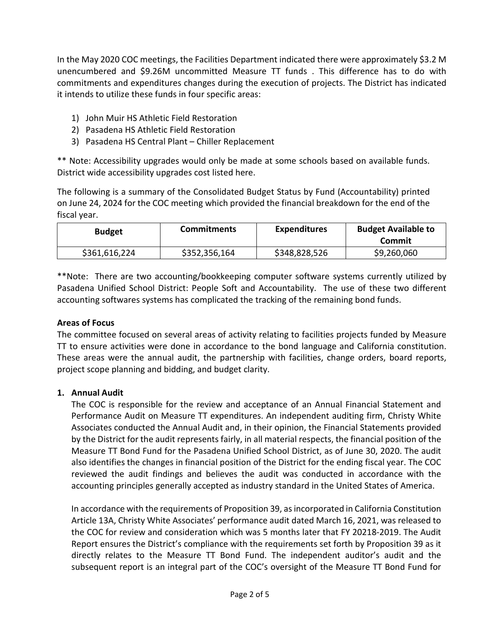In the May 2020 COC meetings, the Facilities Department indicated there were approximately \$3.2 M unencumbered and \$9.26M uncommitted Measure TT funds . This difference has to do with commitments and expenditures changes during the execution of projects. The District has indicated it intends to utilize these funds in four specific areas:

- 1) John Muir HS Athletic Field Restoration
- 2) Pasadena HS Athletic Field Restoration
- 3) Pasadena HS Central Plant Chiller Replacement

\*\* Note: Accessibility upgrades would only be made at some schools based on available funds. District wide accessibility upgrades cost listed here.

The following is a summary of the Consolidated Budget Status by Fund (Accountability) printed on June 24, 2024 for the COC meeting which provided the financial breakdown for the end of the fiscal year.

| <b>Budget</b> | <b>Commitments</b> | <b>Expenditures</b> | <b>Budget Available to</b><br>Commit |
|---------------|--------------------|---------------------|--------------------------------------|
| \$361,616,224 | \$352,356,164      | \$348,828,526       | \$9,260,060                          |

\*\*Note: There are two accounting/bookkeeping computer software systems currently utilized by Pasadena Unified School District: People Soft and Accountability. The use of these two different accounting softwares systems has complicated the tracking of the remaining bond funds.

## **Areas of Focus**

The committee focused on several areas of activity relating to facilities projects funded by Measure TT to ensure activities were done in accordance to the bond language and California constitution. These areas were the annual audit, the partnership with facilities, change orders, board reports, project scope planning and bidding, and budget clarity.

### **1. Annual Audit**

The COC is responsible for the review and acceptance of an Annual Financial Statement and Performance Audit on Measure TT expenditures. An independent auditing firm, Christy White Associates conducted the Annual Audit and, in their opinion, the Financial Statements provided by the District for the audit represents fairly, in all material respects, the financial position of the Measure TT Bond Fund for the Pasadena Unified School District, as of June 30, 2020. The audit also identifies the changes in financial position of the District for the ending fiscal year. The COC reviewed the audit findings and believes the audit was conducted in accordance with the accounting principles generally accepted as industry standard in the United States of America.

In accordance with the requirements of Proposition 39, as incorporated in California Constitution Article 13A, Christy White Associates' performance audit dated March 16, 2021, was released to the COC for review and consideration which was 5 months later that FY 20218-2019. The Audit Report ensures the District's compliance with the requirements set forth by Proposition 39 as it directly relates to the Measure TT Bond Fund. The independent auditor's audit and the subsequent report is an integral part of the COC's oversight of the Measure TT Bond Fund for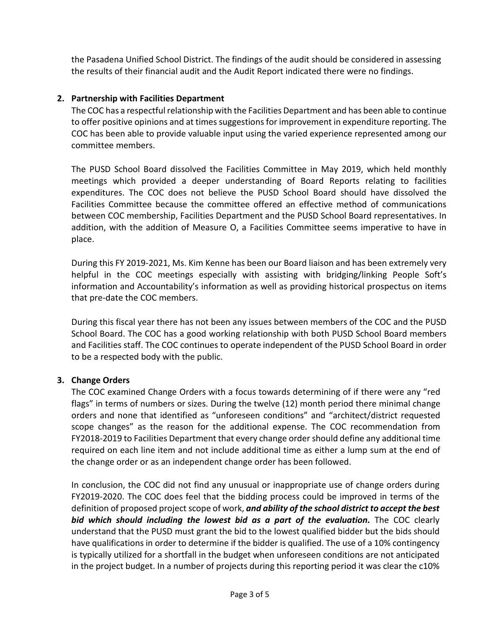the Pasadena Unified School District. The findings of the audit should be considered in assessing the results of their financial audit and the Audit Report indicated there were no findings.

## **2. Partnership with Facilities Department**

The COC has a respectful relationship with the Facilities Department and has been able to continue to offer positive opinions and at times suggestions for improvement in expenditure reporting. The COC has been able to provide valuable input using the varied experience represented among our committee members.

The PUSD School Board dissolved the Facilities Committee in May 2019, which held monthly meetings which provided a deeper understanding of Board Reports relating to facilities expenditures. The COC does not believe the PUSD School Board should have dissolved the Facilities Committee because the committee offered an effective method of communications between COC membership, Facilities Department and the PUSD School Board representatives. In addition, with the addition of Measure O, a Facilities Committee seems imperative to have in place.

During this FY 2019-2021, Ms. Kim Kenne has been our Board liaison and has been extremely very helpful in the COC meetings especially with assisting with bridging/linking People Soft's information and Accountability's information as well as providing historical prospectus on items that pre-date the COC members.

During this fiscal year there has not been any issues between members of the COC and the PUSD School Board. The COC has a good working relationship with both PUSD School Board members and Facilities staff. The COC continues to operate independent of the PUSD School Board in order to be a respected body with the public.

### **3. Change Orders**

The COC examined Change Orders with a focus towards determining of if there were any "red flags" in terms of numbers or sizes. During the twelve (12) month period there minimal change orders and none that identified as "unforeseen conditions" and "architect/district requested scope changes" as the reason for the additional expense. The COC recommendation from FY2018-2019 to Facilities Department that every change order should define any additional time required on each line item and not include additional time as either a lump sum at the end of the change order or as an independent change order has been followed.

In conclusion, the COC did not find any unusual or inappropriate use of change orders during FY2019-2020. The COC does feel that the bidding process could be improved in terms of the definition of proposed project scope of work, *and ability of the school district to accept the best bid which should including the lowest bid as a part of the evaluation.* The COC clearly understand that the PUSD must grant the bid to the lowest qualified bidder but the bids should have qualifications in order to determine if the bidder is qualified. The use of a 10% contingency is typically utilized for a shortfall in the budget when unforeseen conditions are not anticipated in the project budget. In a number of projects during this reporting period it was clear the c10%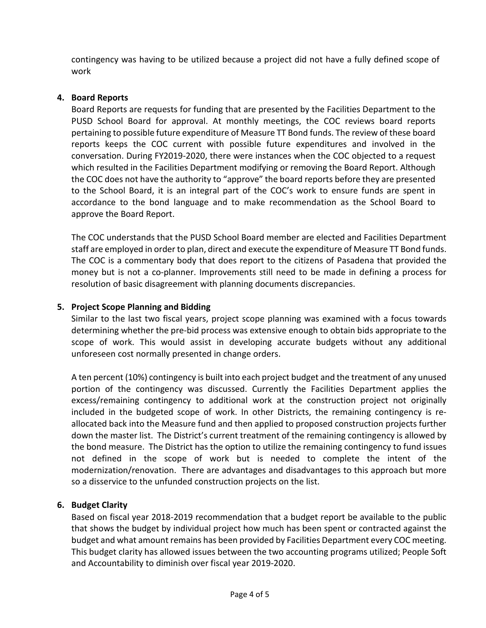contingency was having to be utilized because a project did not have a fully defined scope of work

## **4. Board Reports**

Board Reports are requests for funding that are presented by the Facilities Department to the PUSD School Board for approval. At monthly meetings, the COC reviews board reports pertaining to possible future expenditure of Measure TT Bond funds. The review of these board reports keeps the COC current with possible future expenditures and involved in the conversation. During FY2019-2020, there were instances when the COC objected to a request which resulted in the Facilities Department modifying or removing the Board Report. Although the COC does not have the authority to "approve" the board reports before they are presented to the School Board, it is an integral part of the COC's work to ensure funds are spent in accordance to the bond language and to make recommendation as the School Board to approve the Board Report.

The COC understands that the PUSD School Board member are elected and Facilities Department staff are employed in order to plan, direct and execute the expenditure of Measure TT Bond funds. The COC is a commentary body that does report to the citizens of Pasadena that provided the money but is not a co-planner. Improvements still need to be made in defining a process for resolution of basic disagreement with planning documents discrepancies.

# **5. Project Scope Planning and Bidding**

Similar to the last two fiscal years, project scope planning was examined with a focus towards determining whether the pre-bid process was extensive enough to obtain bids appropriate to the scope of work. This would assist in developing accurate budgets without any additional unforeseen cost normally presented in change orders.

A ten percent (10%) contingency is built into each project budget and the treatment of any unused portion of the contingency was discussed. Currently the Facilities Department applies the excess/remaining contingency to additional work at the construction project not originally included in the budgeted scope of work. In other Districts, the remaining contingency is reallocated back into the Measure fund and then applied to proposed construction projects further down the master list. The District's current treatment of the remaining contingency is allowed by the bond measure. The District has the option to utilize the remaining contingency to fund issues not defined in the scope of work but is needed to complete the intent of the modernization/renovation. There are advantages and disadvantages to this approach but more so a disservice to the unfunded construction projects on the list.

## **6. Budget Clarity**

Based on fiscal year 2018-2019 recommendation that a budget report be available to the public that shows the budget by individual project how much has been spent or contracted against the budget and what amount remains has been provided by Facilities Department every COC meeting. This budget clarity has allowed issues between the two accounting programs utilized; People Soft and Accountability to diminish over fiscal year 2019-2020.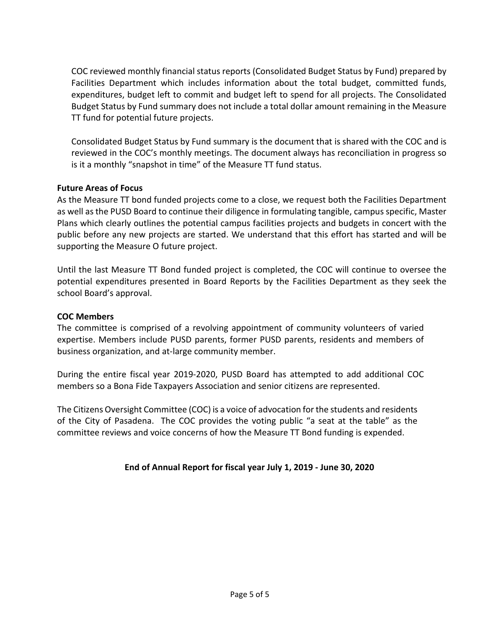COC reviewed monthly financial status reports (Consolidated Budget Status by Fund) prepared by Facilities Department which includes information about the total budget, committed funds, expenditures, budget left to commit and budget left to spend for all projects. The Consolidated Budget Status by Fund summary does not include a total dollar amount remaining in the Measure TT fund for potential future projects.

Consolidated Budget Status by Fund summary is the document that is shared with the COC and is reviewed in the COC's monthly meetings. The document always has reconciliation in progress so is it a monthly "snapshot in time" of the Measure TT fund status.

## **Future Areas of Focus**

As the Measure TT bond funded projects come to a close, we request both the Facilities Department as well as the PUSD Board to continue their diligence in formulating tangible, campus specific, Master Plans which clearly outlines the potential campus facilities projects and budgets in concert with the public before any new projects are started. We understand that this effort has started and will be supporting the Measure O future project.

Until the last Measure TT Bond funded project is completed, the COC will continue to oversee the potential expenditures presented in Board Reports by the Facilities Department as they seek the school Board's approval.

### **COC Members**

The committee is comprised of a revolving appointment of community volunteers of varied expertise. Members include PUSD parents, former PUSD parents, residents and members of business organization, and at-large community member.

During the entire fiscal year 2019-2020, PUSD Board has attempted to add additional COC members so a Bona Fide Taxpayers Association and senior citizens are represented.

The Citizens Oversight Committee (COC) is a voice of advocation for the students and residents of the City of Pasadena. The COC provides the voting public "a seat at the table" as the committee reviews and voice concerns of how the Measure TT Bond funding is expended.

### **End of Annual Report for fiscal year July 1, 2019 - June 30, 2020**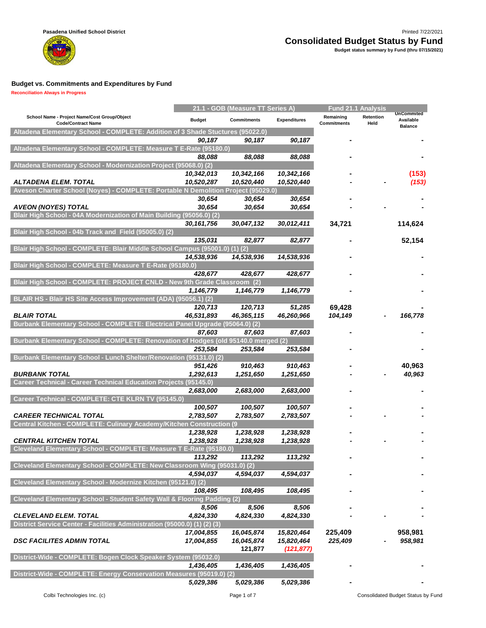

|                                                                                                    |               | 21.1 - GOB (Measure TT Series A) |                     | <b>Fund 21.1 Analysis</b>       |                   |                                           |
|----------------------------------------------------------------------------------------------------|---------------|----------------------------------|---------------------|---------------------------------|-------------------|-------------------------------------------|
| School Name - Project Name/Cost Group/Object<br><b>Code/Contract Name</b>                          | <b>Budget</b> | <b>Commitments</b>               | <b>Expenditures</b> | Remaining<br><b>Commitments</b> | Retention<br>Held | <b>UnCommited</b><br>Available<br>Ralance |
| Altadena Elementary School - COMPLETE: Addition of 3 Shade Stuctures (95022.0)                     |               |                                  |                     |                                 |                   |                                           |
|                                                                                                    | 90,187        | 90,187                           | 90,187              |                                 |                   |                                           |
| Altadena Elementary School - COMPLETE: Measure T E-Rate (95180.0)                                  |               |                                  |                     |                                 |                   |                                           |
| Altadena Elementary School - Modernization Project (95068.0) (2)                                   | 88.088        | 88,088                           | 88,088              |                                 |                   |                                           |
|                                                                                                    | 10,342,013    | 10,342,166                       | 10,342,166          |                                 |                   | (153)                                     |
| ALTADENA ELEM. TOTAL                                                                               | 10,520,287    | 10,520,440                       | 10,520,440          |                                 |                   | (153)                                     |
| Aveson Charter School (Noyes) - COMPLETE: Portable N Demolition Project (95029.0)                  |               |                                  |                     |                                 |                   |                                           |
|                                                                                                    | 30,654        | 30,654                           | 30,654              |                                 |                   |                                           |
| <b>AVEON (NOYES) TOTAL</b>                                                                         | 30,654        | 30,654                           | 30,654              |                                 |                   |                                           |
| Blair High School - 04A Modernization of Main Building (95056.0) (2)                               |               |                                  |                     |                                 |                   |                                           |
|                                                                                                    | 30,161,756    | 30,047,132                       | 30,012,411          | 34,721                          |                   | 114,624                                   |
| Blair High School - 04b Track and Field (95005.0) (2)                                              | 135,031       | 82,877                           | 82,877              |                                 |                   | 52,154                                    |
| Blair High School - COMPLETE: Blair Middle School Campus (95001.0) (1) (2)                         |               |                                  |                     |                                 |                   |                                           |
|                                                                                                    | 14,538,936    | 14,538,936                       | 14,538,936          |                                 |                   |                                           |
| Blair High School - COMPLETE: Measure T E-Rate (95180.0)                                           |               |                                  |                     |                                 |                   |                                           |
|                                                                                                    | 428,677       | 428,677                          | 428,677             |                                 |                   |                                           |
| Blair High School - COMPLETE: PROJECT CNLD - New 9th Grade Classroom                               |               | (2)                              |                     |                                 |                   |                                           |
|                                                                                                    | 1,146,779     | 1,146,779                        | 1,146,779           |                                 |                   |                                           |
| BLAIR HS - Blair HS Site Access Improvement (ADA) (95056.1) (2)                                    |               |                                  |                     |                                 |                   |                                           |
|                                                                                                    | 120,713       | 120,713                          | 51,285              | 69,428                          |                   |                                           |
| <b>BLAIR TOTAL</b><br>Burbank Elementary School - COMPLETE: Electrical Panel Upgrade (95064.0) (2) | 46,531,893    | 46,365,115                       | 46,260,966          | 104,149                         |                   | 166,778                                   |
|                                                                                                    | 87,603        | 87,603                           | 87,603              |                                 |                   |                                           |
| Burbank Elementary School - COMPLETE: Renovation of Hodges (old 95140.0 merged (2)                 |               |                                  |                     |                                 |                   |                                           |
|                                                                                                    | 253,584       | 253,584                          | 253,584             |                                 |                   |                                           |
| Burbank Elementary School - Lunch Shelter/Renovation (95131.0) (2)                                 |               |                                  |                     |                                 |                   |                                           |
|                                                                                                    | 951,426       | 910,463                          | 910,463             |                                 |                   | 40,963                                    |
| <b>BURBANK TOTAL</b>                                                                               | 1,292,613     | 1,251,650                        | 1,251,650           |                                 |                   | 40,963                                    |
| Career Technical - Career Technical Education Projects (95145.0)                                   |               |                                  |                     |                                 |                   |                                           |
| Career Technical - COMPLETE: CTE KLRN TV (95145.0)                                                 | 2,683,000     | 2,683,000                        | 2,683,000           |                                 |                   |                                           |
|                                                                                                    | 100,507       | 100,507                          | 100,507             |                                 |                   |                                           |
| <b>CAREER TECHNICAL TOTAL</b>                                                                      | 2,783,507     | 2,783,507                        | 2,783,507           |                                 |                   |                                           |
| Central Kitchen - COMPLETE: Culinary Academy/Kitchen Construction (9                               |               |                                  |                     |                                 |                   |                                           |
|                                                                                                    | 1,238,928     | 1,238,928                        | 1,238,928           |                                 |                   |                                           |
| <b>CENTRAL KITCHEN TOTAL</b>                                                                       | 1,238,928     | 1,238,928                        | 1,238,928           |                                 |                   |                                           |
| Cleveland Elementary School - COMPLETE: Measure T E-Rate (95180.0)                                 |               |                                  |                     |                                 |                   |                                           |
|                                                                                                    | 113,292       | 113,292                          | 113,292             |                                 |                   |                                           |
| Cleveland Elementary School - COMPLETE: New Classroom Wing (95031.0) (2)                           |               |                                  |                     |                                 |                   |                                           |
|                                                                                                    | 4,594,037     | 4,594,037                        | 4,594,037           |                                 |                   |                                           |
| Cleveland Elementary School - Modernize Kitchen (95121.0) (2)                                      | 108.495       | 108,495                          | 108,495             |                                 |                   |                                           |
| Cleveland Elementary School - Student Safety Wall & Flooring Padding (2)                           |               |                                  |                     |                                 |                   |                                           |
|                                                                                                    | 8,506         | 8,506                            | 8,506               |                                 |                   |                                           |
| <b>CLEVELAND ELEM. TOTAL</b>                                                                       | 4,824,330     | 4,824,330                        | 4,824,330           |                                 |                   |                                           |
| District Service Center - Facilities Administration (95000.0) (1) (2) (3)                          |               |                                  |                     |                                 |                   |                                           |
|                                                                                                    | 17,004,855    | 16,045,874                       | 15,820,464          | 225,409                         |                   | 958,981                                   |
| <b>DSC FACILITES ADMIN TOTAL</b>                                                                   | 17,004,855    | 16,045,874                       | 15,820,464          | 225,409                         |                   | 958,981                                   |
|                                                                                                    |               | 121,877                          | (121, 877)          |                                 |                   |                                           |
| District-Wide - COMPLETE: Bogen Clock Speaker System (95032.0)                                     |               |                                  |                     |                                 |                   |                                           |
| District-Wide - COMPLETE: Energy Conservation Measures (95019.0) (2)                               | 1,436,405     | 1,436,405                        | 1,436,405           |                                 |                   |                                           |
|                                                                                                    | 5,029,386     | 5,029,386                        | 5,029,386           |                                 |                   |                                           |
|                                                                                                    |               |                                  |                     |                                 |                   |                                           |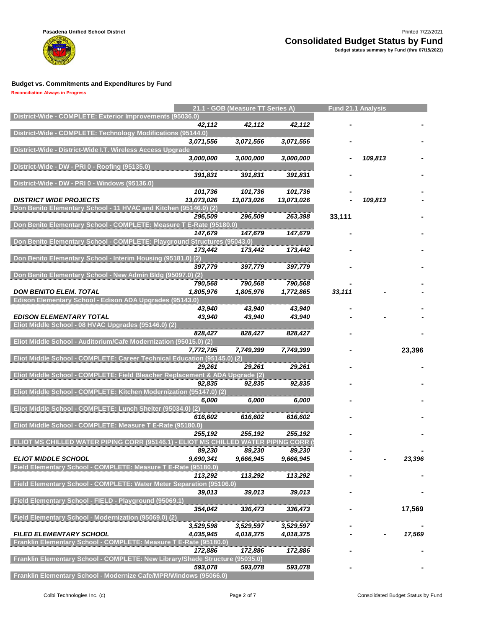

**Reconciliation Always in Progress**

m

|                                                                                              |            | 21.1 - GOB (Measure TT Series A) |            | <b>Fund 21.1 Analysis</b> |         |        |
|----------------------------------------------------------------------------------------------|------------|----------------------------------|------------|---------------------------|---------|--------|
| District-Wide - COMPLETE: Exterior Improvements (95036.0)                                    |            |                                  |            |                           |         |        |
| District-Wide - COMPLETE: Technology Modifications (95144.0)                                 | 42,112     | 42,112                           | 42,112     |                           |         |        |
|                                                                                              | 3,071,556  | 3,071,556                        | 3,071,556  |                           |         |        |
| District-Wide - District-Wide I.T. Wireless Access Upgrade                                   |            |                                  |            |                           |         |        |
|                                                                                              | 3,000,000  | 3,000,000                        | 3,000,000  |                           | 109,813 |        |
| District-Wide - DW - PRI 0 - Roofing (95135.0)                                               |            |                                  |            |                           |         |        |
|                                                                                              | 391,831    | 391,831                          | 391,831    |                           |         |        |
| District-Wide - DW - PRI 0 - Windows (95136.0)                                               | 101,736    | 101,736                          | 101,736    |                           |         |        |
| <b>DISTRICT WIDE PROJECTS</b>                                                                | 13,073,026 | 13,073,026                       | 13,073,026 |                           | 109,813 |        |
| Don Benito Elementary School - 11 HVAC and Kitchen (95146.0) (2)                             |            |                                  |            |                           |         |        |
|                                                                                              | 296,509    | 296,509                          | 263,398    | 33,111                    |         |        |
| Don Benito Elementary School - COMPLETE: Measure T E-Rate (95180.0)                          |            |                                  |            |                           |         |        |
| Don Benito Elementary School - COMPLETE: Playground Structures (95043.0)                     | 147,679    | 147,679                          | 147,679    |                           |         |        |
|                                                                                              | 173,442    | 173,442                          | 173,442    |                           |         |        |
| Don Benito Elementary School - Interim Housing (95181.0) (2)                                 |            |                                  |            |                           |         |        |
|                                                                                              | 397,779    | 397,779                          | 397,779    |                           |         |        |
| Don Benito Elementary School - New Admin Bldg (95097.0) (2)                                  |            |                                  |            |                           |         |        |
|                                                                                              | 790,568    | 790,568                          | 790,568    |                           |         |        |
| <b>DON BENITO ELEM. TOTAL</b><br>Edison Elementary School - Edison ADA Upgrades (95143.0)    | 1,805,976  | 1,805,976                        | 1,772,865  | 33,111                    |         |        |
|                                                                                              | 43,940     | 43,940                           | 43,940     |                           |         |        |
| <b>EDISON ELEMENTARY TOTAL</b>                                                               | 43,940     | 43,940                           | 43,940     |                           |         |        |
| Eliot Middle School - 08 HVAC Upgrades (95146.0) (2)                                         |            |                                  |            |                           |         |        |
|                                                                                              | 828,427    | 828,427                          | 828,427    |                           |         |        |
| Eliot Middle School - Auditorium/Cafe Modernization (95015.0) (2)                            | 7,772,795  | 7,749,399                        | 7,749,399  |                           |         | 23,396 |
| Eliot Middle School - COMPLETE: Career Technical Education (95145.0) (2)                     |            |                                  |            |                           |         |        |
|                                                                                              | 29,261     | 29,261                           | 29,261     |                           |         |        |
| Eliot Middle School - COMPLETE: Field Bleacher Replacement & ADA Upgrade (2)                 |            |                                  |            |                           |         |        |
|                                                                                              | 92,835     | 92,835                           | 92,835     |                           |         |        |
| Eliot Middle School - COMPLETE: Kitchen Modernization (95147.0) (2)                          |            |                                  |            |                           |         |        |
| Eliot Middle School - COMPLETE: Lunch Shelter (95034.0) (2)                                  | 6,000      | 6,000                            | 6,000      |                           |         |        |
|                                                                                              | 616,602    | 616,602                          | 616,602    |                           |         |        |
| Eliot Middle School - COMPLETE: Measure T E-Rate (95180.0)                                   |            |                                  |            |                           |         |        |
|                                                                                              | 255,192    | 255,192                          | 255,192    |                           |         |        |
| ELIOT MS CHILLED WATER PIPING CORR (95146.1) - ELIOT MS CHILLED WATER PIPING CORR (          |            |                                  |            |                           |         |        |
|                                                                                              | 89,230     | 89,230                           | 89,230     |                           |         |        |
| <b>ELIOT MIDDLE SCHOOL</b><br>Field Elementary School - COMPLETE: Measure T E-Rate (95180.0) | 9,690,341  | 9,666,945                        | 9,666,945  |                           |         | 23,396 |
|                                                                                              | 113,292    | 113,292                          | 113,292    |                           |         |        |
| Field Elementary School - COMPLETE: Water Meter Separation (95106.0)                         |            |                                  |            |                           |         |        |
|                                                                                              | 39,013     | 39,013                           | 39,013     |                           |         |        |
| Field Elementary School - FIELD - Playground (95069.1)                                       |            |                                  |            |                           |         |        |
| Field Elementary School - Modernization (95069.0) (2)                                        | 354,042    | 336,473                          | 336,473    |                           |         | 17,569 |
|                                                                                              | 3,529,598  | 3,529,597                        | 3,529,597  |                           |         |        |
| <b>FILED ELEMENTARY SCHOOL</b>                                                               | 4,035,945  | 4,018,375                        | 4,018,375  |                           |         | 17,569 |
| Franklin Elementary School - COMPLETE: Measure T E-Rate (95180.0)                            |            |                                  |            |                           |         |        |
|                                                                                              | 172,886    | 172,886                          | 172,886    |                           |         |        |
| Franklin Elementary School - COMPLETE: New Library/Shade Structure (95035.0)                 |            |                                  |            |                           |         |        |
| Franklin Elementary School - Modernize Cafe/MPR/Windows (95066.0)                            | 593,078    | 593,078                          | 593,078    |                           |         |        |
|                                                                                              |            |                                  |            |                           |         |        |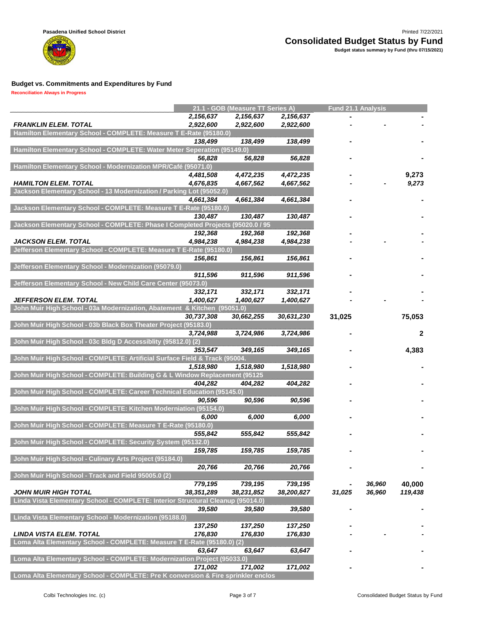

**Reconciliation Always in Progress**

m

|                                                                                  |            | 21.1 - GOB (Measure TT Series A) |            | <b>Fund 21.1 Analysis</b> |        |              |
|----------------------------------------------------------------------------------|------------|----------------------------------|------------|---------------------------|--------|--------------|
|                                                                                  | 2,156,637  | 2,156,637                        | 2,156,637  |                           |        |              |
| <b>FRANKLIN ELEM. TOTAL</b>                                                      | 2,922,600  | 2,922,600                        | 2,922,600  |                           |        |              |
| Hamilton Elementary School - COMPLETE: Measure T E-Rate (95180.0)                |            |                                  |            |                           |        |              |
|                                                                                  | 138,499    | 138,499                          | 138,499    |                           |        |              |
| Hamilton Elementary School - COMPLETE: Water Meter Seperation (95149.0)          |            |                                  |            |                           |        |              |
|                                                                                  | 56,828     | 56,828                           | 56,828     |                           |        |              |
| Hamilton Elementary School - Modernization MPR/Café (95071.0)                    |            |                                  |            |                           |        |              |
|                                                                                  | 4,481,508  | 4,472,235                        | 4,472,235  |                           |        | 9,273        |
| <b>HAMILTON ELEM. TOTAL</b>                                                      | 4,676,835  | 4,667,562                        | 4,667,562  |                           |        | 9,273        |
| Jackson Elementary School - 13 Modernization / Parking Lot (95052.0)             |            |                                  |            |                           |        |              |
|                                                                                  | 4,661,384  | 4,661,384                        | 4,661,384  |                           |        |              |
| Jackson Elementary School - COMPLETE: Measure T E-Rate (95180.0)                 |            |                                  |            |                           |        |              |
|                                                                                  | 130,487    | 130,487                          | 130,487    |                           |        |              |
| Jackson Elementary School - COMPLETE: Phase I Completed Projects (95020.0 / 95   |            |                                  |            |                           |        |              |
|                                                                                  | 192,368    | 192,368                          | 192,368    |                           |        |              |
| <b>JACKSON ELEM. TOTAL</b>                                                       | 4,984,238  | 4,984,238                        | 4,984,238  |                           |        |              |
| Jefferson Elementary School - COMPLETE: Measure T E-Rate (95180.0)               |            |                                  |            |                           |        |              |
|                                                                                  | 156,861    | 156,861                          | 156,861    |                           |        |              |
| Jefferson Elementary School - Modernization (95079.0)                            |            |                                  |            |                           |        |              |
|                                                                                  | 911.596    | 911.596                          | 911,596    |                           |        |              |
| Jefferson Elementary School - New Child Care Center (95073.0)                    |            |                                  |            |                           |        |              |
|                                                                                  | 332,171    | 332,171                          | 332,171    |                           |        |              |
| JEFFERSON ELEM. TOTAL                                                            | 1,400,627  | 1,400,627                        | 1,400,627  |                           |        |              |
| John Muir High School - 03a Modernization, Abatement & Kitchen (95051.0)         |            |                                  |            |                           |        |              |
|                                                                                  | 30,737,308 | 30,662,255                       | 30,631,230 | 31,025                    |        | 75,053       |
| John Muir High School - 03b Black Box Theater Project (95183.0)                  |            |                                  |            |                           |        |              |
|                                                                                  | 3,724,988  | 3,724,986                        | 3,724,986  |                           |        | $\mathbf{2}$ |
| John Muir High School - 03c Bldg D Accessiblity (95812.0) (2)                    |            |                                  |            |                           |        |              |
|                                                                                  | 353,547    | 349,165                          | 349,165    |                           |        | 4,383        |
| John Muir High School - COMPLETE: Artificial Surface Field & Track (95004.       |            |                                  |            |                           |        |              |
|                                                                                  | 1,518,980  | 1,518,980                        | 1,518,980  |                           |        |              |
| John Muir High School - COMPLETE: Building G & L Window Replacement (95125       |            |                                  |            |                           |        |              |
|                                                                                  | 404,282    | 404,282                          | 404,282    |                           |        |              |
| John Muir High School - COMPLETE: Career Technical Education (95145.0)           |            |                                  |            |                           |        |              |
| John Muir High School - COMPLETE: Kitchen Moderniation (95154.0)                 | 90,596     | 90,596                           | 90,596     |                           |        |              |
|                                                                                  |            |                                  |            |                           |        |              |
| John Muir High School - COMPLETE: Measure T E-Rate (95180.0)                     | 6,000      | 6,000                            | 6,000      |                           |        |              |
|                                                                                  |            |                                  |            |                           |        |              |
| John Muir High School - COMPLETE: Security System (95132.0)                      | 555,842    | 555,842                          | 555,842    |                           |        |              |
|                                                                                  | 159,785    | 159,785                          | 159,785    |                           |        |              |
|                                                                                  |            |                                  |            |                           |        |              |
| John Muir High School - Culinary Arts Project (95184.0)                          | 20,766     | 20,766                           | 20,766     |                           |        |              |
| John Muir High School - Track and Field 95005.0 (2)                              |            |                                  |            |                           |        |              |
|                                                                                  | 779,195    | 739,195                          | 739,195    |                           | 36,960 | 40,000       |
| <b>JOHN MUIR HIGH TOTAL</b>                                                      | 38,351,289 | 38,231,852                       | 38,200,827 | 31,025                    | 36,960 | 119,438      |
| Linda Vista Elementary School - COMPLETE: Interior Structural Cleanup (95014.0)  |            |                                  |            |                           |        |              |
|                                                                                  | 39,580     | 39,580                           | 39,580     |                           |        |              |
| Linda Vista Elementary School - Modernization (95188.0)                          |            |                                  |            |                           |        |              |
|                                                                                  | 137,250    | 137,250                          | 137,250    |                           |        |              |
| <b>LINDA VISTA ELEM. TOTAL</b>                                                   | 176,830    | 176,830                          | 176,830    |                           |        |              |
| Loma Alta Elementary School - COMPLETE: Measure T E-Rate (95180.0) (2)           |            |                                  |            |                           |        |              |
|                                                                                  | 63,647     | 63,647                           | 63,647     |                           |        |              |
| Loma Alta Elementary School - COMPLETE: Modernization Project (95033.0)          |            |                                  |            |                           |        |              |
|                                                                                  | 171,002    | 171,002                          | 171,002    |                           |        |              |
| Loma Alta Elementary School - COMPLETE: Pre K conversion & Fire sprinkler enclos |            |                                  |            |                           |        |              |
|                                                                                  |            |                                  |            |                           |        |              |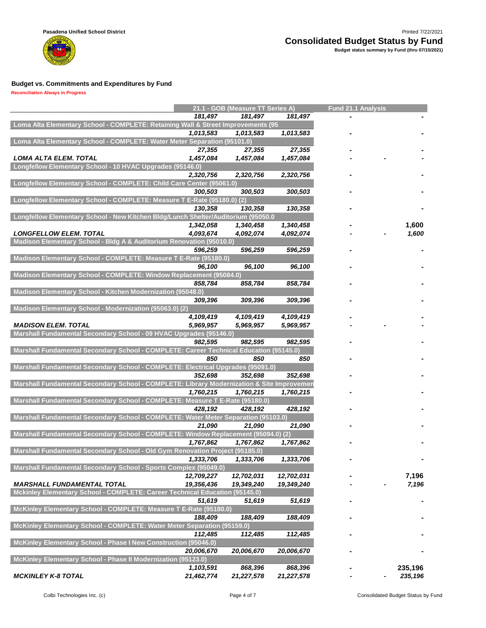

|                                                                                                       |                        | 21.1 - GOB (Measure TT Series A) |            | <b>Fund 21.1 Analysis</b> |         |
|-------------------------------------------------------------------------------------------------------|------------------------|----------------------------------|------------|---------------------------|---------|
|                                                                                                       | 181,497                | 181,497                          | 181,497    |                           |         |
| Loma Alta Elementary School - COMPLETE: Retaining Wall & Street Improvements (95                      |                        |                                  |            |                           |         |
|                                                                                                       | 1,013,583              | 1,013,583                        | 1,013,583  |                           |         |
| Loma Alta Elementary School - COMPLETE: Water Meter Separation (95101.0)                              |                        |                                  |            |                           |         |
|                                                                                                       | 27,355                 | 27,355                           | 27,355     |                           |         |
| LOMA ALTA ELEM. TOTAL                                                                                 | 1,457,084              | 1,457,084                        | 1,457,084  |                           |         |
| Longfellow Elementary School - 10 HVAC Upgrades (95146.0)                                             |                        |                                  |            |                           |         |
|                                                                                                       | 2,320,756              | 2,320,756                        | 2,320,756  |                           |         |
| Longfellow Elementary School - COMPLETE: Child Care Center (95061.0)                                  |                        |                                  |            |                           |         |
|                                                                                                       | 300,503                | 300,503                          | 300,503    |                           |         |
| Longfellow Elementary School - COMPLETE: Measure T E-Rate (95180.0) (2)                               |                        |                                  |            |                           |         |
|                                                                                                       | 130,358                | 130,358                          | 130,358    |                           |         |
| Longfellow Elementary School - New Kitchen Bldg/Lunch Shelter/Auditorium (95050.0                     |                        |                                  |            |                           |         |
|                                                                                                       | 1,342,058<br>4,093,674 | 1,340,458                        | 1,340,458  |                           | 1,600   |
| <b>LONGFELLOW ELEM. TOTAL</b><br>Madison Elementary School - Bldg A & Auditorium Renovation (95010.0) |                        | 4,092,074                        | 4,092,074  |                           | 1,600   |
|                                                                                                       | 596,259                | 596,259                          | 596,259    |                           |         |
| Madison Elementary School - COMPLETE: Measure T E-Rate (95180.0)                                      |                        |                                  |            |                           |         |
|                                                                                                       | 96,100                 | 96,100                           | 96,100     |                           |         |
| Madison Elementary School - COMPLETE: Window Replacement (95084.0)                                    |                        |                                  |            |                           |         |
|                                                                                                       | 858,784                | 858,784                          | 858,784    |                           |         |
| Madison Elementary School - Kitchen Modernization (95048.0)                                           |                        |                                  |            |                           |         |
|                                                                                                       | 309,396                | 309,396                          | 309,396    |                           |         |
| Madison Elementary School - Modernization (95063.0) (2)                                               |                        |                                  |            |                           |         |
|                                                                                                       | 4,109,419              | 4,109,419                        | 4,109,419  |                           |         |
| <b>MADISON ELEM. TOTAL</b>                                                                            | 5,969,957              | 5,969,957                        | 5,969,957  |                           |         |
| Marshall Fundamental Secondary School - 09 HVAC Upgrades (95146.0)                                    |                        |                                  |            |                           |         |
|                                                                                                       | 982,595                | 982,595                          | 982,595    |                           |         |
| Marshall Fundamental Secondary School - COMPLETE: Career Technical Education (95145.0)                |                        |                                  |            |                           |         |
|                                                                                                       | 850                    | 850                              | 850        |                           |         |
| Marshall Fundamental Secondary School - COMPLETE: Electrical Upgrades (95091.0)                       |                        |                                  |            |                           |         |
|                                                                                                       | 352,698                | 352,698                          | 352,698    |                           |         |
| Marshall Fundamental Secondary School - COMPLETE: Library Modernization & Site Improvemen             |                        |                                  |            |                           |         |
|                                                                                                       | 1,760,215              | 1,760,215                        | 1,760,215  |                           |         |
| Marshall Fundamental Secondary School - COMPLETE: Measure T E-Rate (95180.0)                          |                        |                                  |            |                           |         |
|                                                                                                       | 428,192                | 428,192                          | 428,192    |                           |         |
| Marshall Fundamental Secondary School - COMPLETE: Water Meter Separation (95103.0)                    |                        |                                  |            |                           |         |
| Marshall Fundamental Secondary School - COMPLETE: Window Replacement (95094.0) (2)                    | 21,090                 | 21,090                           | 21,090     |                           |         |
|                                                                                                       | 1,767,862              | 1,767,862                        | 1,767,862  |                           |         |
| Marshall Fundamental Secondary School - Old Gym Renovation Project (95185.0)                          |                        |                                  |            |                           |         |
|                                                                                                       | 1,333,706              | 1,333,706                        | 1,333,706  |                           |         |
| Marshall Fundamental Secondary School - Sports Complex (95049.0)                                      |                        |                                  |            |                           |         |
|                                                                                                       | 12,709,227             | 12,702,031                       | 12,702,031 |                           | 7,196   |
| <b>MARSHALL FUNDAMENTAL TOTAL</b>                                                                     | 19,356,436             | 19,349,240                       | 19,349,240 |                           | 7,196   |
| Mckinley Elementary School - COMPLETE: Career Technical Education (95145.0)                           |                        |                                  |            |                           |         |
|                                                                                                       | 51,619                 | 51,619                           | 51,619     |                           |         |
| McKinley Elementary School - COMPLETE: Measure T E-Rate (95180.0)                                     |                        |                                  |            |                           |         |
|                                                                                                       | 188,409                | 188,409                          | 188,409    |                           |         |
| McKinley Elementary School - COMPLETE: Water Meter Separation (95159.0)                               |                        |                                  |            |                           |         |
|                                                                                                       | 112,485                | 112,485                          | 112,485    |                           |         |
| McKinley Elementary School - Phase I New Construction (95046.0)                                       |                        |                                  |            |                           |         |
|                                                                                                       | 20,006,670             | 20,006,670                       | 20,006,670 |                           |         |
| McKinley Elementary School - Phase II Modernization (95123.0)                                         |                        |                                  |            |                           |         |
|                                                                                                       | 1,103,591              | 868,396                          | 868,396    |                           | 235,196 |
| <b>MCKINLEY K-8 TOTAL</b>                                                                             | 21,462,774             | 21,227,578                       | 21,227,578 |                           | 235,196 |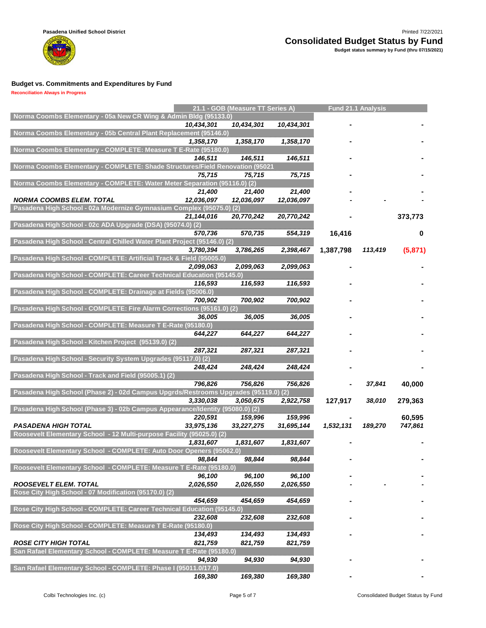

|                                                                                     |            | 21.1 - GOB (Measure TT Series A) |            |           | Fund 21.1 Analysis |         |
|-------------------------------------------------------------------------------------|------------|----------------------------------|------------|-----------|--------------------|---------|
| Norma Coombs Elementary - 05a New CR Wing & Admin Bldg (95133.0)                    |            |                                  |            |           |                    |         |
|                                                                                     | 10,434,301 | 10,434,301                       | 10,434,301 |           |                    |         |
| Norma Coombs Elementary - 05b Central Plant Replacement (95146.0)                   |            |                                  |            |           |                    |         |
| Norma Coombs Elementary - COMPLETE: Measure T E-Rate (95180.0)                      | 1,358,170  | 1,358,170                        | 1,358,170  |           |                    |         |
|                                                                                     |            |                                  |            |           |                    |         |
| Norma Coombs Elementary - COMPLETE: Shade Structures/Field Renovation (95021        | 146,511    | 146,511                          | 146,511    |           |                    |         |
|                                                                                     | 75,715     | 75,715                           | 75,715     |           |                    |         |
| Norma Coombs Elementary - COMPLETE: Water Meter Separation (95116.0) (2)            |            |                                  |            |           |                    |         |
|                                                                                     | 21,400     | 21,400                           | 21,400     |           |                    |         |
| <b>NORMA COOMBS ELEM. TOTAL</b>                                                     | 12,036,097 | 12,036,097                       | 12,036,097 |           |                    |         |
| Pasadena High School - 02a Modernize Gymnasium Complex (95075.0) (2)                |            |                                  |            |           |                    |         |
|                                                                                     | 21,144,016 | 20,770,242                       | 20,770,242 |           |                    | 373,773 |
| Pasadena High School - 02c ADA Upgrade (DSA) (95074.0) (2)                          |            |                                  |            |           |                    |         |
|                                                                                     | 570,736    | 570,735                          | 554,319    | 16,416    |                    | 0       |
| Pasadena High School - Central Chilled Water Plant Project (95146.0) (2)            |            |                                  |            |           |                    |         |
|                                                                                     | 3,780,394  | 3,786,265                        | 2,398,467  | 1,387,798 | 113,419            | (5,871) |
| Pasadena High School - COMPLETE: Artificial Track & Field (95005.0)                 |            |                                  |            |           |                    |         |
|                                                                                     | 2,099,063  | 2,099,063                        | 2,099,063  |           |                    |         |
| Pasadena High School - COMPLETE: Career Technical Education (95145.0)               |            |                                  |            |           |                    |         |
|                                                                                     | 116,593    | 116,593                          | 116,593    |           |                    |         |
| Pasadena High School - COMPLETE: Drainage at Fields (95006.0)                       |            |                                  |            |           |                    |         |
|                                                                                     | 700,902    | 700,902                          | 700,902    |           |                    |         |
| Pasadena High School - COMPLETE: Fire Alarm Corrections (95161.0) (2)               | 36.005     |                                  |            |           |                    |         |
| Pasadena High School - COMPLETE: Measure T E-Rate (95180.0)                         |            | 36,005                           | 36,005     |           |                    |         |
|                                                                                     | 644,227    | 644,227                          | 644,227    |           |                    |         |
| Pasadena High School - Kitchen Project (95139.0) (2)                                |            |                                  |            |           |                    |         |
|                                                                                     | 287,321    | 287,321                          | 287,321    |           |                    |         |
| Pasadena High School - Security System Upgrades (95117.0) (2)                       |            |                                  |            |           |                    |         |
|                                                                                     | 248,424    | 248,424                          | 248,424    |           |                    |         |
| Pasadena High School - Track and Field (95005.1) (2)                                |            |                                  |            |           |                    |         |
|                                                                                     | 796,826    | 756,826                          | 756,826    |           | 37,841             | 40,000  |
| Pasadena High School (Phase 2) - 02d Campus Upgrds/Restrooms Upgrades (95119.0) (2) |            |                                  |            |           |                    |         |
|                                                                                     | 3,330,038  | 3,050,675                        | 2,922,758  | 127,917   | 38,010             | 279,363 |
| Pasadena High School (Phase 3) - 02b Campus Appearance/Identity (95080.0) (2)       |            |                                  |            |           |                    |         |
|                                                                                     | 220,591    | 159,996                          | 159,996    |           |                    | 60,595  |
| <b>PASADENA HIGH TOTAL</b>                                                          | 33,975,136 | 33,227,275                       | 31,695,144 | 1,532,131 | 189.270            | 747,861 |
| Roosevelt Elementary School - 12 Multi-purpose Facility (95025.0) (2)               |            |                                  |            |           |                    |         |
| Roosevelt Elementary School - COMPLETE: Auto Door Openers (95062.0)                 | 1,831,607  | 1,831,607                        | 1,831,607  |           |                    |         |
|                                                                                     | 98,844     | 98,844                           | 98,844     |           |                    |         |
| Roosevelt Elementary School - COMPLETE: Measure T E-Rate (95180.0)                  |            |                                  |            |           |                    |         |
|                                                                                     | 96,100     | 96,100                           | 96,100     |           |                    |         |
| <b>ROOSEVELT ELEM. TOTAL</b>                                                        | 2,026,550  | 2,026,550                        | 2,026,550  |           |                    |         |
| Rose City High School - 07 Modification (95170.0) (2)                               |            |                                  |            |           |                    |         |
|                                                                                     | 454,659    | 454,659                          | 454,659    |           |                    |         |
| Rose City High School - COMPLETE: Career Technical Education (95145.0)              |            |                                  |            |           |                    |         |
|                                                                                     | 232,608    | 232,608                          | 232,608    |           |                    |         |
| Rose City High School - COMPLETE: Measure T E-Rate (95180.0)                        |            |                                  |            |           |                    |         |
|                                                                                     | 134,493    | 134,493                          | 134,493    |           |                    |         |
| <b>ROSE CITY HIGH TOTAL</b>                                                         | 821,759    | 821,759                          | 821,759    |           |                    |         |
| San Rafael Elementary School - COMPLETE: Measure T E-Rate (95180.0)                 |            |                                  |            |           |                    |         |
|                                                                                     | 94,930     | 94,930                           | 94,930     |           |                    |         |
| San Rafael Elementary School - COMPLETE: Phase I (95011.0/17.0)                     |            |                                  |            |           |                    |         |
|                                                                                     | 169,380    | 169,380                          | 169,380    |           |                    |         |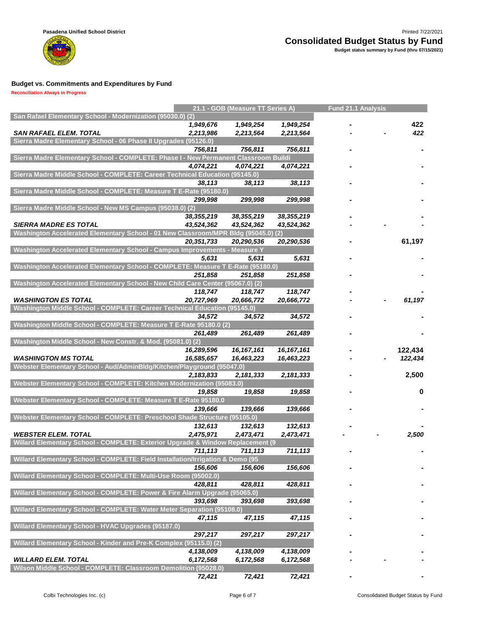

| San Rafael Elementary School - Modernization (95030.0) (2)                          |                          | 21.1 - GOB (Measure TT Series A) |                            | <b>Fund 21.1 Analysis</b> |                    |
|-------------------------------------------------------------------------------------|--------------------------|----------------------------------|----------------------------|---------------------------|--------------------|
|                                                                                     | 1,949,676                | 1,949,254                        | 1,949,254                  |                           | 422                |
| <b>SAN RAFAEL ELEM. TOTAL</b>                                                       | 2,213,986                | 2,213,564                        | 2,213,564                  |                           | 422                |
| Sierra Madre Elementary School - 06 Phase II Upgrades (95126.0)                     |                          |                                  |                            |                           |                    |
|                                                                                     | 756,811                  | 756,811                          | 756,811                    |                           |                    |
| Sierra Madre Elementary School - COMPLETE: Phase I - New Permanent Classroom Buildi |                          |                                  |                            |                           |                    |
|                                                                                     | 4,074,221                | 4,074,221                        | 4,074,221                  |                           |                    |
| Sierra Madre Middle School - COMPLETE: Career Technical Education (95145.0)         |                          |                                  |                            |                           |                    |
|                                                                                     | 38,113                   | 38,113                           | 38,113                     |                           |                    |
| Sierra Madre Middle School - COMPLETE: Measure T E-Rate (95180.0)                   |                          |                                  |                            |                           |                    |
|                                                                                     | 299,998                  | 299,998                          | 299,998                    |                           |                    |
| Sierra Madre Middle School - New MS Campus (95038.0) (2)                            |                          |                                  |                            |                           |                    |
|                                                                                     | 38,355,219               | 38,355,219                       | 38,355,219                 |                           |                    |
| <b>SIERRA MADRE ES TOTAL</b>                                                        | 43,524,362               | 43,524,362                       | 43,524,362                 |                           |                    |
| Washington Accelerated Elementary School - 01 New Classroom/MPR Bldg (95045.0)      |                          |                                  | $\left( 2\right)$          |                           |                    |
|                                                                                     | 20,351,733               | 20,290,536                       | 20,290,536                 |                           | 61,197             |
| Washington Accelerated Elementary School - Campus Improvements - Measure Y          |                          |                                  |                            |                           |                    |
|                                                                                     | 5.631                    | 5,631                            | 5,631                      |                           |                    |
| Washington Accelerated Elementary School - COMPLETE: Measure T E-Rate (95180.0)     |                          |                                  |                            |                           |                    |
|                                                                                     | 251,858                  | 251,858                          | 251,858                    |                           |                    |
| Washington Accelerated Elementary School - New Child Care Center (95067.0) (2)      |                          |                                  |                            |                           |                    |
|                                                                                     | 118,747                  | 118,747                          | 118,747                    |                           |                    |
| <b>WASHINGTON ES TOTAL</b>                                                          | 20,727,969               | 20,666,772                       | 20,666,772                 |                           | 61,197             |
| Washington Middle School - COMPLETE: Career Technical Education (95145.0)           |                          |                                  |                            |                           |                    |
|                                                                                     | 34,572                   | 34,572                           | 34,572                     |                           |                    |
| Washington Middle School - COMPLETE: Measure T E-Rate 95180.0 (2)                   |                          |                                  |                            |                           |                    |
|                                                                                     | 261,489                  | 261,489                          | 261,489                    |                           |                    |
| Washington Middle School - New Constr. & Mod. (95081.0) (2)                         |                          |                                  |                            |                           |                    |
| <b>WASHINGTON MS TOTAL</b>                                                          | 16,289,596<br>16,585,657 | 16, 167, 161<br>16,463,223       | 16, 167, 161<br>16,463,223 |                           | 122,434<br>122,434 |
| Webster Elementary School - Aud/AdminBldg/Kitchen/Playground (95047.0)              |                          |                                  |                            |                           |                    |
|                                                                                     | 2,183,833                | 2,181,333                        | 2,181,333                  |                           | 2,500              |
| Webster Elementary School - COMPLETE: Kitchen Modernization (95083.0)               |                          |                                  |                            |                           |                    |
|                                                                                     | 19,858                   | 19,858                           | 19,858                     |                           | 0                  |
| Webster Elementary School - COMPLETE: Measure T E-Rate 95180.0                      |                          |                                  |                            |                           |                    |
|                                                                                     | 139,666                  | 139,666                          | 139,666                    |                           |                    |
| Webster Elementary School - COMPLETE: Preschool Shade Structure (95105.0)           |                          |                                  |                            |                           |                    |
|                                                                                     | 132,613                  | 132,613                          | 132,613                    |                           |                    |
| <b>WEBSTER ELEM. TOTAL</b>                                                          | 2,475,971                | 2,473,471                        | 2,473,471                  |                           | 2,500              |
| Willard Elementary School - COMPLETE: Exterior Upgrade & Window Replacement (9      |                          |                                  |                            |                           |                    |
|                                                                                     | 711,113                  | 711,113                          | 711,113                    |                           |                    |
| Willard Elementary School - COMPLETE: Field Installation/Irrigation & Demo (95      |                          |                                  |                            |                           |                    |
|                                                                                     | 156,606                  | 156,606                          | 156,606                    |                           |                    |
| Willard Elementary School - COMPLETE: Multi-Use Room (95002.0)                      |                          |                                  |                            |                           |                    |
|                                                                                     | 428,811                  | 428,811                          | 428,811                    |                           |                    |
| Willard Elementary School - COMPLETE: Power & Fire Alarm Upgrade (95065.0)          |                          |                                  |                            |                           |                    |
|                                                                                     | 393,698                  | 393,698                          | 393,698                    |                           |                    |
| Willard Elementary School - COMPLETE: Water Meter Separation (95108.0)              |                          |                                  |                            |                           |                    |
|                                                                                     | 47,115                   | 47,115                           | 47,115                     |                           |                    |
| Willard Elementary School - HVAC Upgrades (95187.0)                                 |                          |                                  |                            |                           |                    |
|                                                                                     | 297,217                  | 297,217                          | 297,217                    |                           |                    |
| Willard Elementary School - Kinder and Pre-K Complex (95115.0) (2)                  |                          |                                  |                            |                           |                    |
|                                                                                     | 4,138,009                | 4,138,009                        | 4,138,009                  |                           |                    |
| <b>WILLARD ELEM. TOTAL</b>                                                          | 6,172,568                | 6,172,568                        | 6,172,568                  |                           |                    |
| Wilson Middle School - COMPLETE: Classroom Demolition (95028.0)                     |                          |                                  |                            |                           |                    |
|                                                                                     | 72,421                   | 72,421                           | 72,421                     |                           |                    |